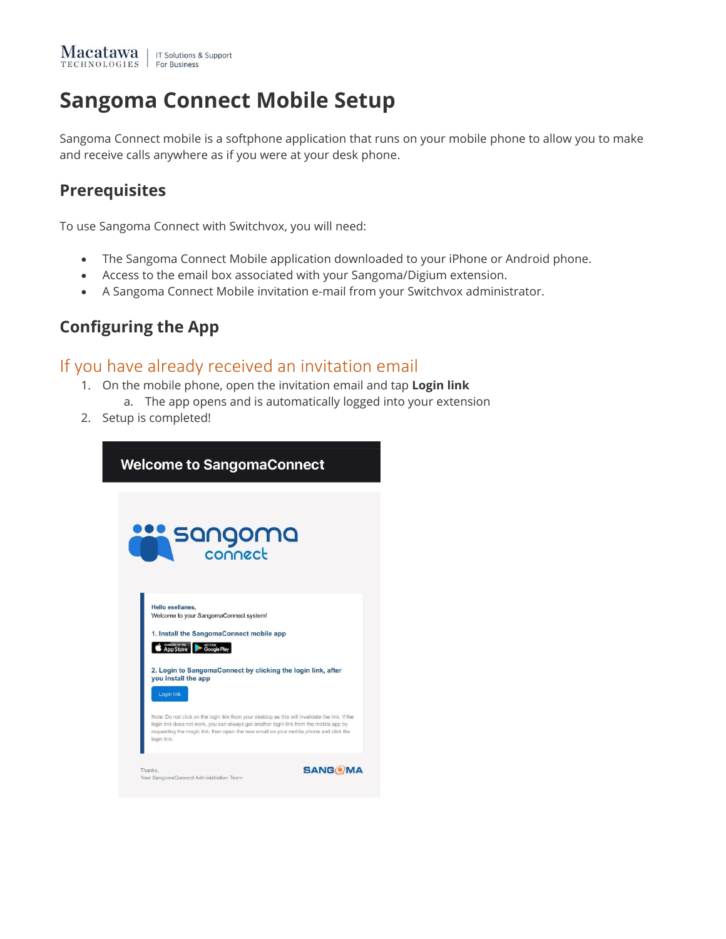#### **Sangoma Connect Mobile Setup**

Sangoma Connect mobile is a softphone application that runs on your mobile phone to allow you to make and receive calls anywhere as if you were at your desk phone.

#### **Prerequisites**

To use Sangoma Connect with Switchvox, you will need:

- The Sangoma Connect Mobile application downloaded to your iPhone or Android phone.
- Access to the email box associated with your Sangoma/Digium extension.
- A Sangoma Connect Mobile invitation e-mail from your Switchvox administrator.

#### **Configuring the App**

#### If you have already received an invitation email

- 1. On the mobile phone, open the invitation email and tap **Login link**
	- a. The app opens and is automatically logged into your extension
- 2. Setup is completed!

| <b>Welcome to SangomaConnect</b>                                                                                                                                                                                                                                                                                                                                                                                                                                                                                                             |  |  |
|----------------------------------------------------------------------------------------------------------------------------------------------------------------------------------------------------------------------------------------------------------------------------------------------------------------------------------------------------------------------------------------------------------------------------------------------------------------------------------------------------------------------------------------------|--|--|
| <b>SQNQOMQ</b>                                                                                                                                                                                                                                                                                                                                                                                                                                                                                                                               |  |  |
| Hello esellanes.<br>Welcome to your SangomaConnect system!<br>1. Install the SangomaConnect mobile app<br>App Store<br>Google Play<br>2. Login to SangomaConnect by clicking the login link, after<br>you install the app<br>Login link<br>Note: Do not click on the login link from your desktop as this will invalidate the link. If the<br>login link does not work, you can always get another login link from the mobile app by<br>requesting the magic link, then open the new email on your mobile phone and click the<br>login link. |  |  |
| <b>SANG(*)MA</b><br>Thanks.<br>Your SangomaConnect Administration Team                                                                                                                                                                                                                                                                                                                                                                                                                                                                       |  |  |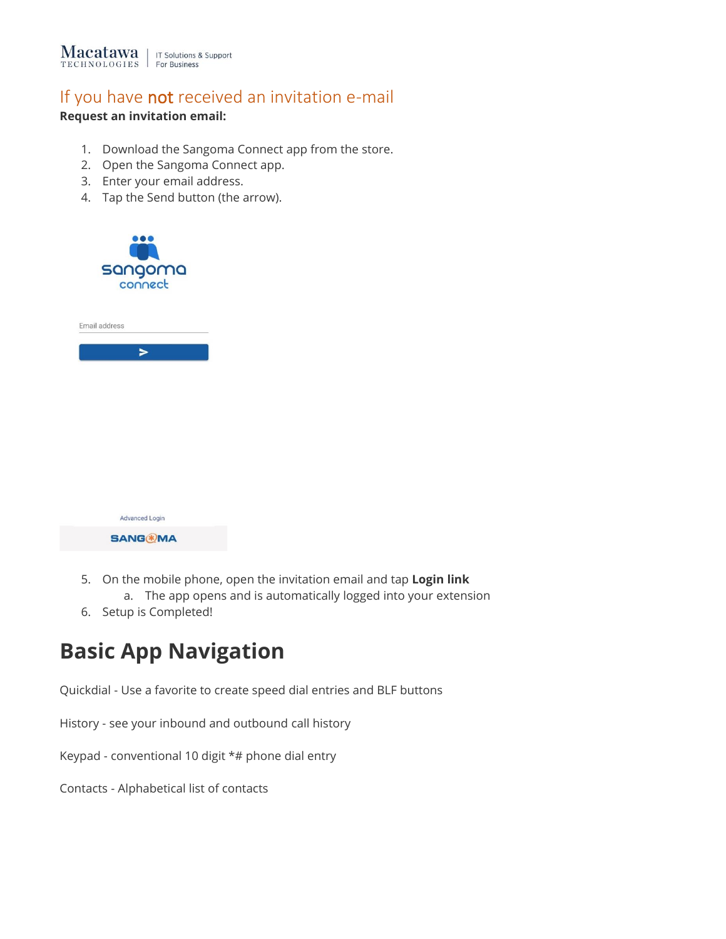

#### If you have not received an invitation e-mail

#### **Request an invitation email:**

- 1. Download the Sangoma Connect app from the store.
- 2. Open the Sangoma Connect app.
- 3. Enter your email address.
- 4. Tap the Send button (the arrow).



| Email address |
|---------------|

| <b>Advanced Login</b> |  |
|-----------------------|--|
| <b>SANG®MA</b>        |  |

- 5. On the mobile phone, open the invitation email and tap **Login link** a. The app opens and is automatically logged into your extension
- 6. Setup is Completed!

#### **Basic App Navigation**

Quickdial - Use a favorite to create speed dial entries and BLF buttons

History - see your inbound and outbound call history

Keypad - conventional 10 digit \*# phone dial entry

Contacts - Alphabetical list of contacts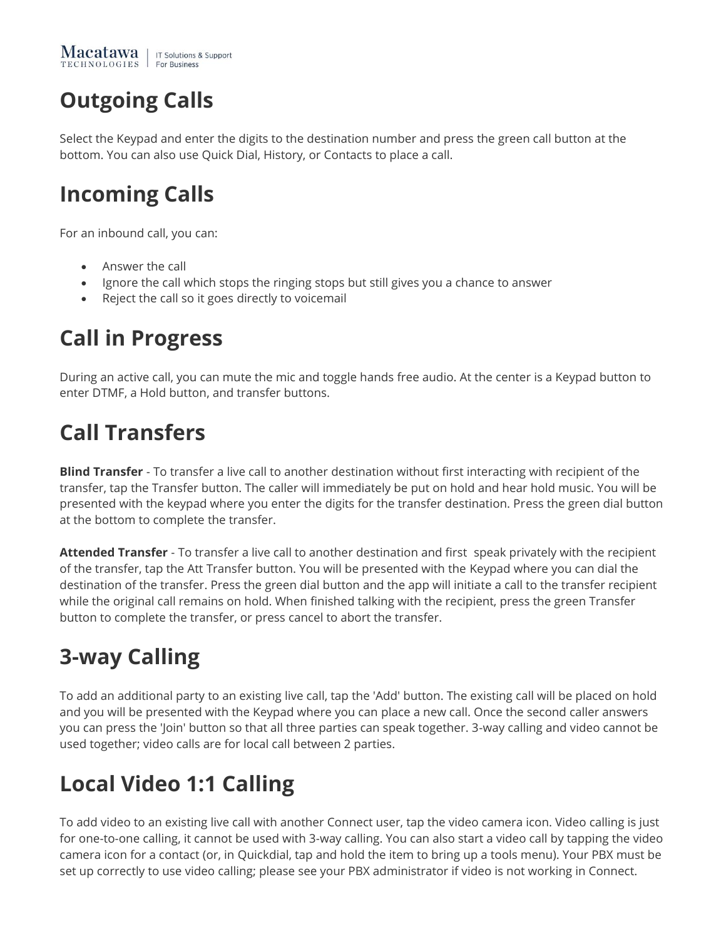## **Outgoing Calls**

Select the Keypad and enter the digits to the destination number and press the green call button at the bottom. You can also use Quick Dial, History, or Contacts to place a call.

### **Incoming Calls**

For an inbound call, you can:

- Answer the call
- Ignore the call which stops the ringing stops but still gives you a chance to answer
- Reject the call so it goes directly to voicemail

#### **Call in Progress**

During an active call, you can mute the mic and toggle hands free audio. At the center is a Keypad button to enter DTMF, a Hold button, and transfer buttons.

### **Call Transfers**

**Blind Transfer** - To transfer a live call to another destination without first interacting with recipient of the transfer, tap the Transfer button. The caller will immediately be put on hold and hear hold music. You will be presented with the keypad where you enter the digits for the transfer destination. Press the green dial button at the bottom to complete the transfer.

**Attended Transfer** - To transfer a live call to another destination and first speak privately with the recipient of the transfer, tap the Att Transfer button. You will be presented with the Keypad where you can dial the destination of the transfer. Press the green dial button and the app will initiate a call to the transfer recipient while the original call remains on hold. When finished talking with the recipient, press the green Transfer button to complete the transfer, or press cancel to abort the transfer.

### **3-way Calling**

To add an additional party to an existing live call, tap the 'Add' button. The existing call will be placed on hold and you will be presented with the Keypad where you can place a new call. Once the second caller answers you can press the 'Join' button so that all three parties can speak together. 3-way calling and video cannot be used together; video calls are for local call between 2 parties.

# **Local Video 1:1 Calling**

To add video to an existing live call with another Connect user, tap the video camera icon. Video calling is just for one-to-one calling, it cannot be used with 3-way calling. You can also start a video call by tapping the video camera icon for a contact (or, in Quickdial, tap and hold the item to bring up a tools menu). Your PBX must be set up correctly to use video calling; please see your PBX administrator if video is not working in Connect.